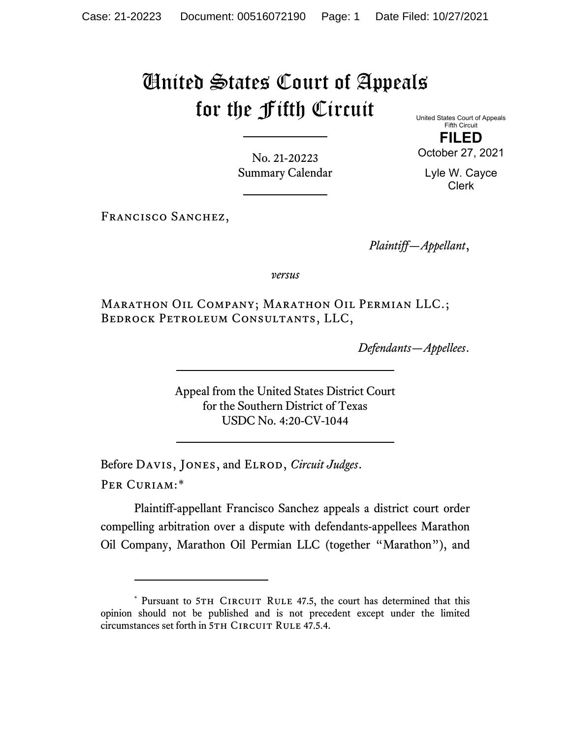## United States Court of Appeals for the Fifth Circuit

United States Court of Appeals Fifth Circuit **FILED**

October 27, 2021

Lyle W. Cayce Clerk

No. 21-20223 Summary Calendar

FRANCISCO SANCHEZ,

*Plaintiff—Appellant*,

*versus*

Marathon Oil Company; Marathon Oil Permian LLC.; Bedrock Petroleum Consultants, LLC,

*Defendants—Appellees*.

Appeal from the United States District Court for the Southern District of Texas USDC No. 4:20-CV-1044

Before Davis, Jones, and Elrod, *Circuit Judges*. Per Curiam:[\\*](#page-0-0)

Plaintiff-appellant Francisco Sanchez appeals a district court order compelling arbitration over a dispute with defendants-appellees Marathon Oil Company, Marathon Oil Permian LLC (together "Marathon"), and

<span id="page-0-0"></span><sup>\*</sup> Pursuant to 5TH CIRCUIT RULE 47.5, the court has determined that this opinion should not be published and is not precedent except under the limited circumstances set forth in 5TH CIRCUIT RULE 47.5.4.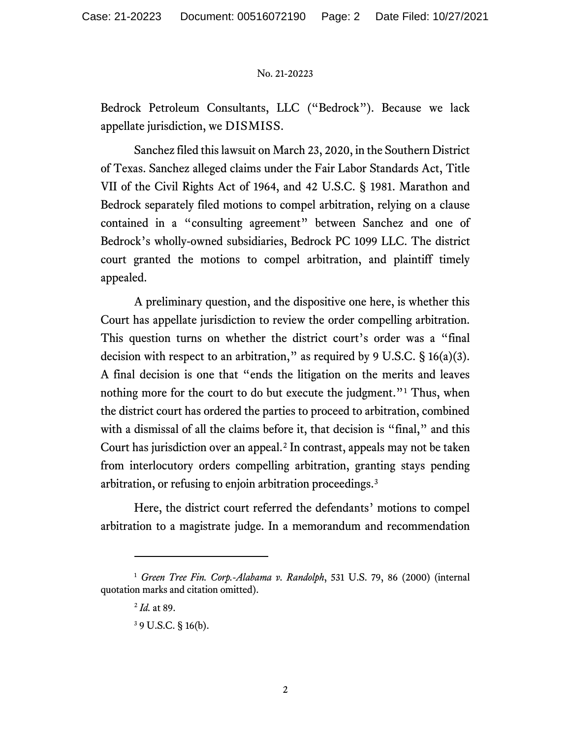## No. 21-20223

Bedrock Petroleum Consultants, LLC ("Bedrock"). Because we lack appellate jurisdiction, we DISMISS.

Sanchez filed this lawsuit on March 23, 2020, in the Southern District of Texas. Sanchez alleged claims under the Fair Labor Standards Act, Title VII of the Civil Rights Act of 1964, and 42 U.S.C. § 1981. Marathon and Bedrock separately filed motions to compel arbitration, relying on a clause contained in a "consulting agreement" between Sanchez and one of Bedrock's wholly-owned subsidiaries, Bedrock PC 1099 LLC. The district court granted the motions to compel arbitration, and plaintiff timely appealed.

A preliminary question, and the dispositive one here, is whether this Court has appellate jurisdiction to review the order compelling arbitration. This question turns on whether the district court's order was a "final decision with respect to an arbitration," as required by 9 U.S.C.  $\S$  16(a)(3). A final decision is one that "ends the litigation on the merits and leaves nothing more for the court to do but execute the judgment."<sup>[1](#page-1-0)</sup> Thus, when the district court has ordered the parties to proceed to arbitration, combined with a dismissal of all the claims before it, that decision is "final," and this Court has jurisdiction over an appeal.<sup>[2](#page-1-1)</sup> In contrast, appeals may not be taken from interlocutory orders compelling arbitration, granting stays pending arbitration, or refusing to enjoin arbitration proceedings. [3](#page-1-2)

Here, the district court referred the defendants' motions to compel arbitration to a magistrate judge. In a memorandum and recommendation

<span id="page-1-2"></span><span id="page-1-1"></span><span id="page-1-0"></span><sup>1</sup> *Green Tree Fin. Corp.-Alabama v. Randolph*, 531 U.S. 79, 86 (2000) (internal quotation marks and citation omitted).

<sup>2</sup> *Id.* at 89.

<sup>3</sup> 9 U.S.C. § 16(b).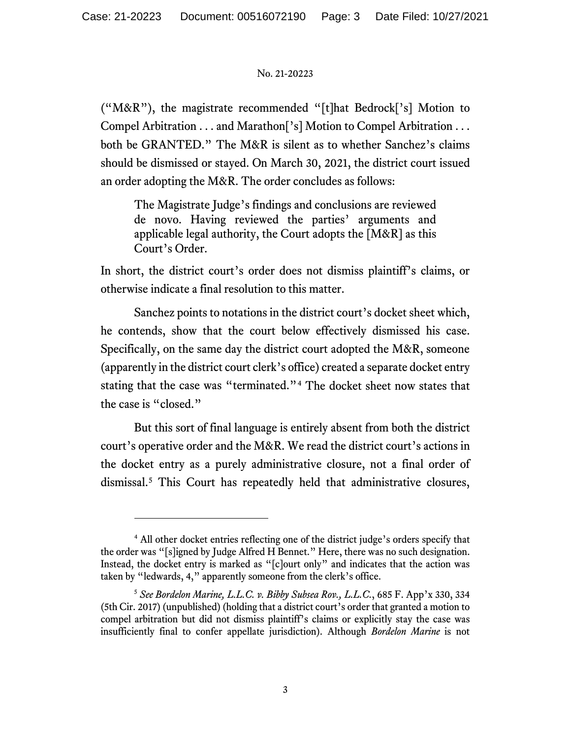## No. 21-20223

("M&R"), the magistrate recommended "[t]hat Bedrock['s] Motion to Compel Arbitration . . . and Marathon['s] Motion to Compel Arbitration . . . both be GRANTED." The M&R is silent as to whether Sanchez's claims should be dismissed or stayed. On March 30, 2021, the district court issued an order adopting the M&R. The order concludes as follows:

The Magistrate Judge's findings and conclusions are reviewed de novo. Having reviewed the parties' arguments and applicable legal authority, the Court adopts the [M&R] as this Court's Order.

In short, the district court's order does not dismiss plaintiff's claims, or otherwise indicate a final resolution to this matter.

Sanchez points to notations in the district court's docket sheet which, he contends, show that the court below effectively dismissed his case. Specifically, on the same day the district court adopted the M&R, someone (apparently in the district court clerk's office) created a separate docket entry stating that the case was "terminated."[4](#page-2-0) The docket sheet now states that the case is "closed."

But this sort of final language is entirely absent from both the district court's operative order and the M&R. We read the district court's actions in the docket entry as a purely administrative closure, not a final order of dismissal. [5](#page-2-1) This Court has repeatedly held that administrative closures,

<span id="page-2-0"></span><sup>&</sup>lt;sup>4</sup> All other docket entries reflecting one of the district judge's orders specify that the order was "[s]igned by Judge Alfred H Bennet." Here, there was no such designation. Instead, the docket entry is marked as "[c]ourt only" and indicates that the action was taken by "ledwards, 4," apparently someone from the clerk's office.

<span id="page-2-1"></span><sup>5</sup> *See Bordelon Marine, L.L.C. v. Bibby Subsea Rov., L.L.C.*, 685 F. App'x 330, 334 (5th Cir. 2017) (unpublished) (holding that a district court's order that granted a motion to compel arbitration but did not dismiss plaintiff's claims or explicitly stay the case was insufficiently final to confer appellate jurisdiction). Although *Bordelon Marine* is not